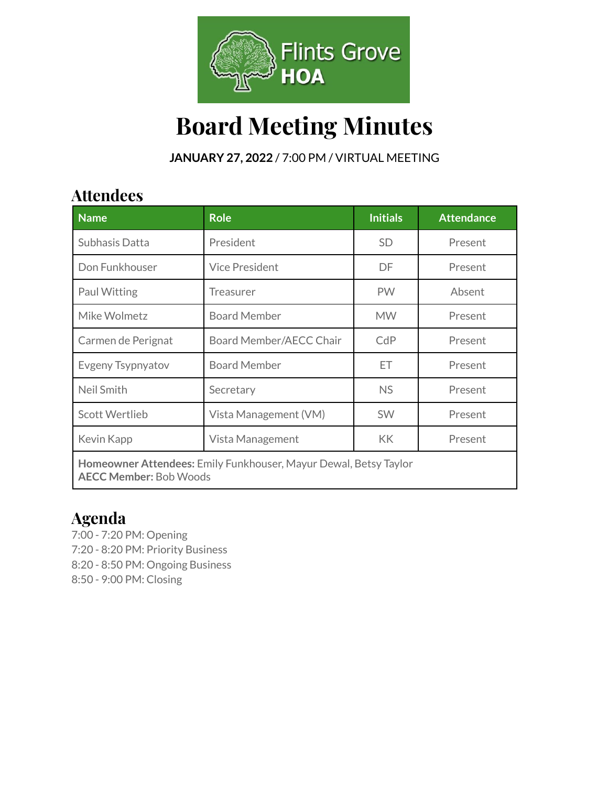

# **Board Meeting Minutes**

**JANUARY 27, 2022** / 7:00 PM / VIRTUAL MEETING

## **Attendees**

| <b>Name</b>                                                                                       | <b>Role</b>             | <b>Initials</b> | <b>Attendance</b> |  |
|---------------------------------------------------------------------------------------------------|-------------------------|-----------------|-------------------|--|
| Subhasis Datta                                                                                    | President               | SD.             | Present           |  |
| Don Funkhouser                                                                                    | <b>Vice President</b>   | DF              | Present           |  |
| Paul Witting                                                                                      | Treasurer               | <b>PW</b>       | Absent            |  |
| Mike Wolmetz                                                                                      | <b>Board Member</b>     | <b>MW</b>       | Present           |  |
| Carmen de Perignat                                                                                | Board Member/AECC Chair | CdP             | Present           |  |
| Evgeny Tsypnyatov                                                                                 | <b>Board Member</b>     | ET              | Present           |  |
| Neil Smith                                                                                        | Secretary               | <b>NS</b>       | Present           |  |
| <b>Scott Wertlieb</b>                                                                             | Vista Management (VM)   | <b>SW</b>       | Present           |  |
| Kevin Kapp                                                                                        | Vista Management        | KK              | Present           |  |
| Homeowner Attendees: Emily Funkhouser, Mayur Dewal, Betsy Taylor<br><b>AECC Member: Bob Woods</b> |                         |                 |                   |  |

## **Agenda**

- 7:00 7:20 PM: Opening
- 7:20 8:20 PM: Priority Business
- 8:20 8:50 PM: Ongoing Business
- 8:50 9:00 PM: Closing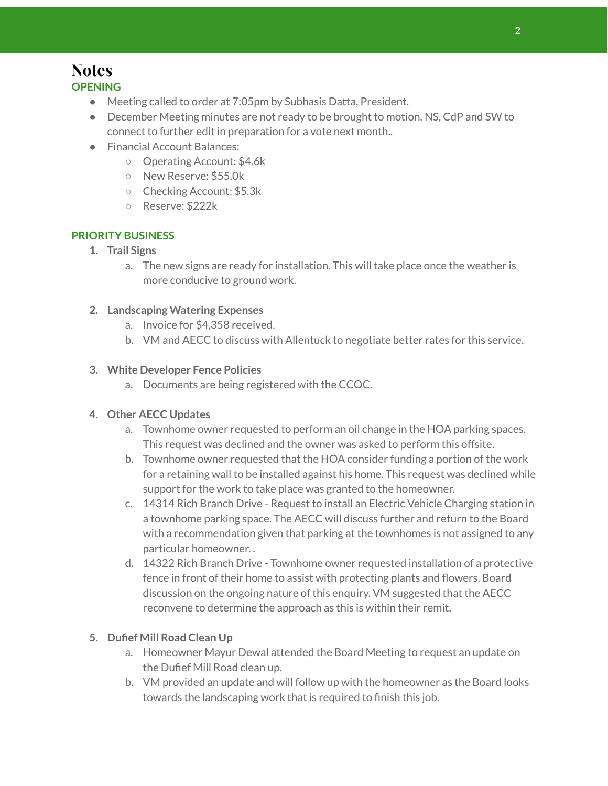## **Notes**

- **OPENING**
	- Meeting called to order at 7:05pm by Subhasis Datta, President.
	- December Meeting minutes are not ready to be brought to motion. NS, CdP and SW to connect to further edit in preparation for a vote next month..
	- Financial Account Balances:
		- Operating Account: \$4.6k
		- New Reserve: \$55.0k
		- Checking Account: \$5.3k
		- Reserve: \$222k

#### **PRIORITY BUSINESS**

- **1. Trail Signs**
	- a. The new signs are ready for installation. This will take place once the weather is more conducive to ground work.

#### **2. Landscaping Watering Expenses**

- a. Invoice for \$4,358 received.
- b. VM and AECC to discuss with Allentuck to negotiate better rates for this service.

#### **3. White Developer Fence Policies**

a. Documents are being registered with the CCOC.

#### **4. Other AECC Updates**

- a. Townhome owner requested to perform an oil change in the HOA parking spaces. This request was declined and the owner was asked to perform this offsite.
- b. Townhome owner requested that the HOA consider funding a portion of the work for a retaining wall to be installed against his home. This request was declined while support for the work to take place was granted to the homeowner.
- c. 14314 Rich Branch Drive Request to install an Electric Vehicle Charging station in a townhome parking space. The AECC will discuss further and return to the Board with a recommendation given that parking at the townhomes is not assigned to any particular homeowner. .
- d. 14322 Rich Branch Drive Townhome owner requested installation of a protective fence in front of their home to assist with protecting plants and flowers. Board discussion on the ongoing nature of this enquiry. VM suggested that the AECC reconvene to determine the approach as this is within their remit.

#### **5. Dufief Mill Road Clean Up**

- a. Homeowner Mayur Dewal attended the Board Meeting to request an update on the Dufief Mill Road clean up.
- b. VM provided an update and will follow up with the homeowner as the Board looks towards the landscaping work that is required to finish this job.